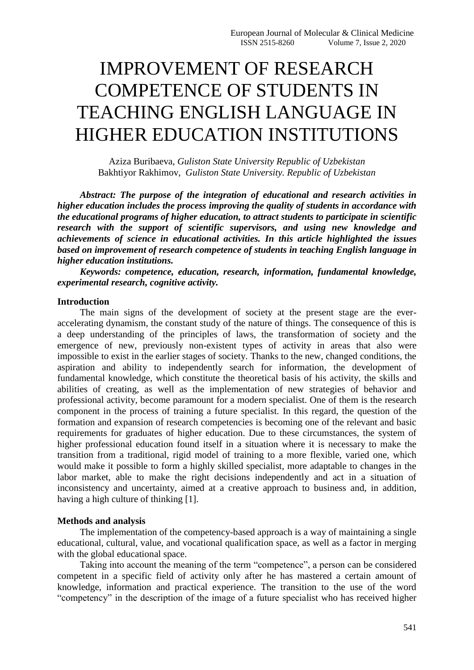# IMPROVEMENT OF RESEARCH COMPETENCE OF STUDENTS IN TEACHING ENGLISH LANGUAGE IN HIGHER EDUCATION INSTITUTIONS

Aziza Buribaeva, *Guliston State University Republic of Uzbekistan* Bakhtiyor Rakhimov, *Guliston State University. Republic of Uzbekistan*

*Abstract: The purpose of the integration of educational and research activities in higher education includes the process improving the quality of students in accordance with the educational programs of higher education, to attract students to participate in scientific research with the support of scientific supervisors, and using new knowledge and achievements of science in educational activities. In this article highlighted the issues based on improvement of research competence of students in teaching English language in higher education institutions.*

*Keywords: competence, education, research, information, fundamental knowledge, experimental research, cognitive activity.*

## **Introduction**

The main signs of the development of society at the present stage are the everaccelerating dynamism, the constant study of the nature of things. The consequence of this is a deep understanding of the principles of laws, the transformation of society and the emergence of new, previously non-existent types of activity in areas that also were impossible to exist in the earlier stages of society. Thanks to the new, changed conditions, the aspiration and ability to independently search for information, the development of fundamental knowledge, which constitute the theoretical basis of his activity, the skills and abilities of creating, as well as the implementation of new strategies of behavior and professional activity, become paramount for a modern specialist. One of them is the research component in the process of training a future specialist. In this regard, the question of the formation and expansion of research competencies is becoming one of the relevant and basic requirements for graduates of higher education. Due to these circumstances, the system of higher professional education found itself in a situation where it is necessary to make the transition from a traditional, rigid model of training to a more flexible, varied one, which would make it possible to form a highly skilled specialist, more adaptable to changes in the labor market, able to make the right decisions independently and act in a situation of inconsistency and uncertainty, aimed at a creative approach to business and, in addition, having a high culture of thinking [1].

#### **Methods and analysis**

The implementation of the competency-based approach is a way of maintaining a single educational, cultural, value, and vocational qualification space, as well as a factor in merging with the global educational space.

Taking into account the meaning of the term "competence", a person can be considered competent in a specific field of activity only after he has mastered a certain amount of knowledge, information and practical experience. The transition to the use of the word "competency" in the description of the image of a future specialist who has received higher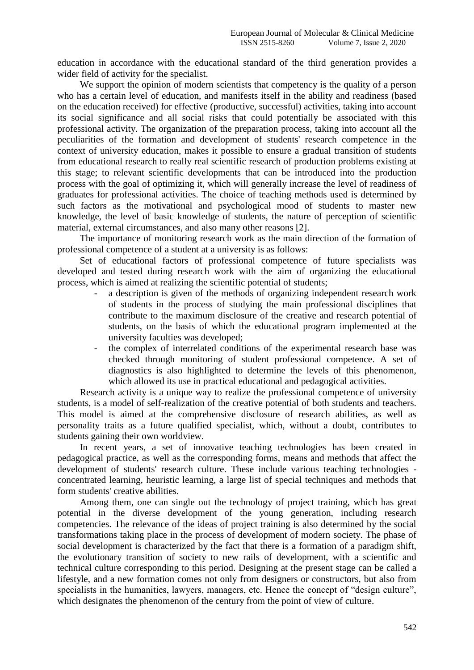education in accordance with the educational standard of the third generation provides a wider field of activity for the specialist.

We support the opinion of modern scientists that competency is the quality of a person who has a certain level of education, and manifests itself in the ability and readiness (based on the education received) for effective (productive, successful) activities, taking into account its social significance and all social risks that could potentially be associated with this professional activity. The organization of the preparation process, taking into account all the peculiarities of the formation and development of students' research competence in the context of university education, makes it possible to ensure a gradual transition of students from educational research to really real scientific research of production problems existing at this stage; to relevant scientific developments that can be introduced into the production process with the goal of optimizing it, which will generally increase the level of readiness of graduates for professional activities. The choice of teaching methods used is determined by such factors as the motivational and psychological mood of students to master new knowledge, the level of basic knowledge of students, the nature of perception of scientific material, external circumstances, and also many other reasons [2].

The importance of monitoring research work as the main direction of the formation of professional competence of a student at a university is as follows:

Set of educational factors of professional competence of future specialists was developed and tested during research work with the aim of organizing the educational process, which is aimed at realizing the scientific potential of students;

- a description is given of the methods of organizing independent research work of students in the process of studying the main professional disciplines that contribute to the maximum disclosure of the creative and research potential of students, on the basis of which the educational program implemented at the university faculties was developed;
- the complex of interrelated conditions of the experimental research base was checked through monitoring of student professional competence. A set of diagnostics is also highlighted to determine the levels of this phenomenon, which allowed its use in practical educational and pedagogical activities.

Research activity is a unique way to realize the professional competence of university students, is a model of self-realization of the creative potential of both students and teachers. This model is aimed at the comprehensive disclosure of research abilities, as well as personality traits as a future qualified specialist, which, without a doubt, contributes to students gaining their own worldview.

In recent years, a set of innovative teaching technologies has been created in pedagogical practice, as well as the corresponding forms, means and methods that affect the development of students' research culture. These include various teaching technologies concentrated learning, heuristic learning, a large list of special techniques and methods that form students' creative abilities.

Among them, one can single out the technology of project training, which has great potential in the diverse development of the young generation, including research competencies. The relevance of the ideas of project training is also determined by the social transformations taking place in the process of development of modern society. The phase of social development is characterized by the fact that there is a formation of a paradigm shift, the evolutionary transition of society to new rails of development, with a scientific and technical culture corresponding to this period. Designing at the present stage can be called a lifestyle, and a new formation comes not only from designers or constructors, but also from specialists in the humanities, lawyers, managers, etc. Hence the concept of "design culture", which designates the phenomenon of the century from the point of view of culture.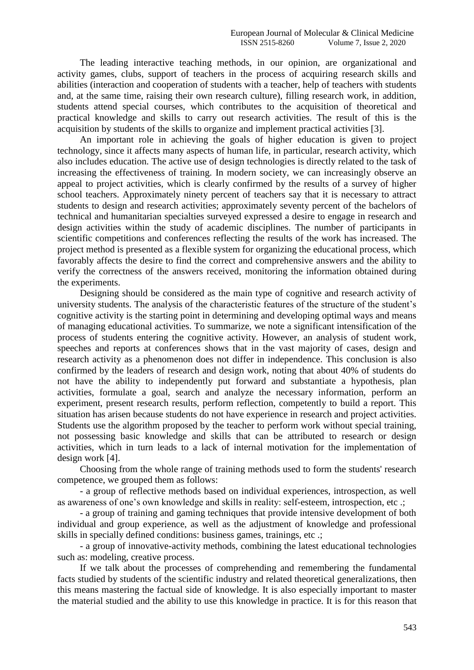The leading interactive teaching methods, in our opinion, are organizational and activity games, clubs, support of teachers in the process of acquiring research skills and abilities (interaction and cooperation of students with a teacher, help of teachers with students and, at the same time, raising their own research culture), filling research work, in addition, students attend special courses, which contributes to the acquisition of theoretical and practical knowledge and skills to carry out research activities. The result of this is the acquisition by students of the skills to organize and implement practical activities [3].

An important role in achieving the goals of higher education is given to project technology, since it affects many aspects of human life, in particular, research activity, which also includes education. The active use of design technologies is directly related to the task of increasing the effectiveness of training. In modern society, we can increasingly observe an appeal to project activities, which is clearly confirmed by the results of a survey of higher school teachers. Approximately ninety percent of teachers say that it is necessary to attract students to design and research activities; approximately seventy percent of the bachelors of technical and humanitarian specialties surveyed expressed a desire to engage in research and design activities within the study of academic disciplines. The number of participants in scientific competitions and conferences reflecting the results of the work has increased. The project method is presented as a flexible system for organizing the educational process, which favorably affects the desire to find the correct and comprehensive answers and the ability to verify the correctness of the answers received, monitoring the information obtained during the experiments.

Designing should be considered as the main type of cognitive and research activity of university students. The analysis of the characteristic features of the structure of the student's cognitive activity is the starting point in determining and developing optimal ways and means of managing educational activities. To summarize, we note a significant intensification of the process of students entering the cognitive activity. However, an analysis of student work, speeches and reports at conferences shows that in the vast majority of cases, design and research activity as a phenomenon does not differ in independence. This conclusion is also confirmed by the leaders of research and design work, noting that about 40% of students do not have the ability to independently put forward and substantiate a hypothesis, plan activities, formulate a goal, search and analyze the necessary information, perform an experiment, present research results, perform reflection, competently to build a report. This situation has arisen because students do not have experience in research and project activities. Students use the algorithm proposed by the teacher to perform work without special training, not possessing basic knowledge and skills that can be attributed to research or design activities, which in turn leads to a lack of internal motivation for the implementation of design work [4].

Choosing from the whole range of training methods used to form the students' research competence, we grouped them as follows:

- a group of reflective methods based on individual experiences, introspection, as well as awareness of one's own knowledge and skills in reality: self-esteem, introspection, etc .;

- a group of training and gaming techniques that provide intensive development of both individual and group experience, as well as the adjustment of knowledge and professional skills in specially defined conditions: business games, trainings, etc .;

- a group of innovative-activity methods, combining the latest educational technologies such as: modeling, creative process.

If we talk about the processes of comprehending and remembering the fundamental facts studied by students of the scientific industry and related theoretical generalizations, then this means mastering the factual side of knowledge. It is also especially important to master the material studied and the ability to use this knowledge in practice. It is for this reason that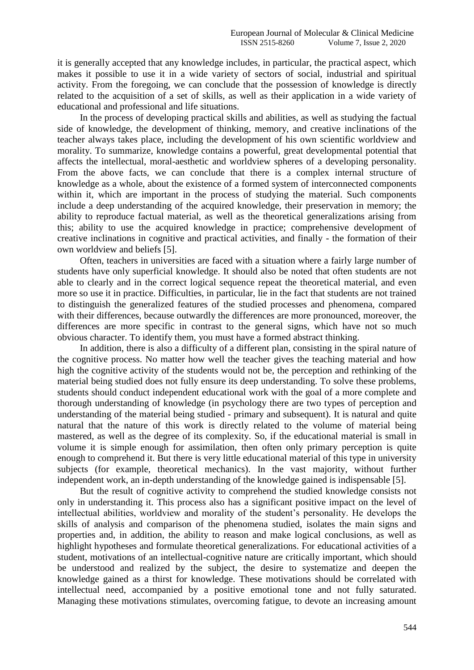it is generally accepted that any knowledge includes, in particular, the practical aspect, which makes it possible to use it in a wide variety of sectors of social, industrial and spiritual activity. From the foregoing, we can conclude that the possession of knowledge is directly related to the acquisition of a set of skills, as well as their application in a wide variety of educational and professional and life situations.

In the process of developing practical skills and abilities, as well as studying the factual side of knowledge, the development of thinking, memory, and creative inclinations of the teacher always takes place, including the development of his own scientific worldview and morality. To summarize, knowledge contains a powerful, great developmental potential that affects the intellectual, moral-aesthetic and worldview spheres of a developing personality. From the above facts, we can conclude that there is a complex internal structure of knowledge as a whole, about the existence of a formed system of interconnected components within it, which are important in the process of studying the material. Such components include a deep understanding of the acquired knowledge, their preservation in memory; the ability to reproduce factual material, as well as the theoretical generalizations arising from this; ability to use the acquired knowledge in practice; comprehensive development of creative inclinations in cognitive and practical activities, and finally - the formation of their own worldview and beliefs [5].

Often, teachers in universities are faced with a situation where a fairly large number of students have only superficial knowledge. It should also be noted that often students are not able to clearly and in the correct logical sequence repeat the theoretical material, and even more so use it in practice. Difficulties, in particular, lie in the fact that students are not trained to distinguish the generalized features of the studied processes and phenomena, compared with their differences, because outwardly the differences are more pronounced, moreover, the differences are more specific in contrast to the general signs, which have not so much obvious character. To identify them, you must have a formed abstract thinking.

In addition, there is also a difficulty of a different plan, consisting in the spiral nature of the cognitive process. No matter how well the teacher gives the teaching material and how high the cognitive activity of the students would not be, the perception and rethinking of the material being studied does not fully ensure its deep understanding. To solve these problems, students should conduct independent educational work with the goal of a more complete and thorough understanding of knowledge (in psychology there are two types of perception and understanding of the material being studied - primary and subsequent). It is natural and quite natural that the nature of this work is directly related to the volume of material being mastered, as well as the degree of its complexity. So, if the educational material is small in volume it is simple enough for assimilation, then often only primary perception is quite enough to comprehend it. But there is very little educational material of this type in university subjects (for example, theoretical mechanics). In the vast majority, without further independent work, an in-depth understanding of the knowledge gained is indispensable [5].

But the result of cognitive activity to comprehend the studied knowledge consists not only in understanding it. This process also has a significant positive impact on the level of intellectual abilities, worldview and morality of the student's personality. He develops the skills of analysis and comparison of the phenomena studied, isolates the main signs and properties and, in addition, the ability to reason and make logical conclusions, as well as highlight hypotheses and formulate theoretical generalizations. For educational activities of a student, motivations of an intellectual-cognitive nature are critically important, which should be understood and realized by the subject, the desire to systematize and deepen the knowledge gained as a thirst for knowledge. These motivations should be correlated with intellectual need, accompanied by a positive emotional tone and not fully saturated. Managing these motivations stimulates, overcoming fatigue, to devote an increasing amount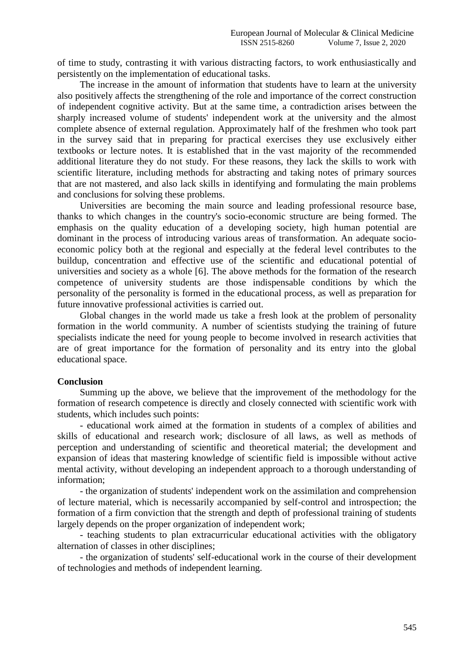of time to study, contrasting it with various distracting factors, to work enthusiastically and persistently on the implementation of educational tasks.

The increase in the amount of information that students have to learn at the university also positively affects the strengthening of the role and importance of the correct construction of independent cognitive activity. But at the same time, a contradiction arises between the sharply increased volume of students' independent work at the university and the almost complete absence of external regulation. Approximately half of the freshmen who took part in the survey said that in preparing for practical exercises they use exclusively either textbooks or lecture notes. It is established that in the vast majority of the recommended additional literature they do not study. For these reasons, they lack the skills to work with scientific literature, including methods for abstracting and taking notes of primary sources that are not mastered, and also lack skills in identifying and formulating the main problems and conclusions for solving these problems.

Universities are becoming the main source and leading professional resource base, thanks to which changes in the country's socio-economic structure are being formed. The emphasis on the quality education of a developing society, high human potential are dominant in the process of introducing various areas of transformation. An adequate socioeconomic policy both at the regional and especially at the federal level contributes to the buildup, concentration and effective use of the scientific and educational potential of universities and society as a whole [6]. The above methods for the formation of the research competence of university students are those indispensable conditions by which the personality of the personality is formed in the educational process, as well as preparation for future innovative professional activities is carried out.

Global changes in the world made us take a fresh look at the problem of personality formation in the world community. A number of scientists studying the training of future specialists indicate the need for young people to become involved in research activities that are of great importance for the formation of personality and its entry into the global educational space.

## **Conclusion**

Summing up the above, we believe that the improvement of the methodology for the formation of research competence is directly and closely connected with scientific work with students, which includes such points:

- educational work aimed at the formation in students of a complex of abilities and skills of educational and research work; disclosure of all laws, as well as methods of perception and understanding of scientific and theoretical material; the development and expansion of ideas that mastering knowledge of scientific field is impossible without active mental activity, without developing an independent approach to a thorough understanding of information;

- the organization of students' independent work on the assimilation and comprehension of lecture material, which is necessarily accompanied by self-control and introspection; the formation of a firm conviction that the strength and depth of professional training of students largely depends on the proper organization of independent work;

- teaching students to plan extracurricular educational activities with the obligatory alternation of classes in other disciplines;

- the organization of students' self-educational work in the course of their development of technologies and methods of independent learning.